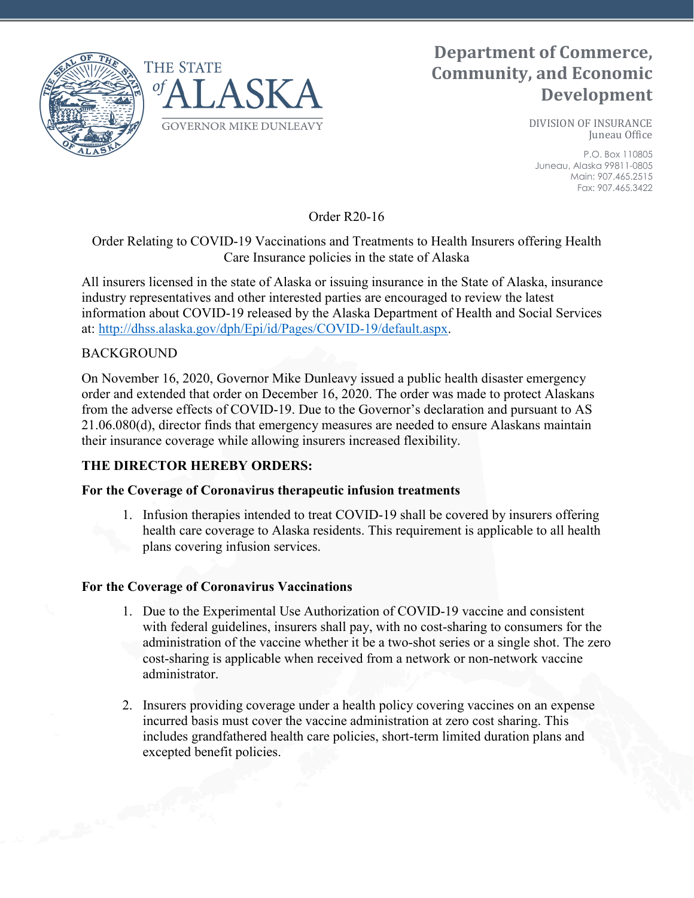

# **Department of Commerce, Community, and Economic Development**

DIVISION OF INSURANCE Juneau Office

P.O. Box 110805 Juneau, Alaska 99811-0805 Main: 907.465.2515 Fax: 907.465.3422

Order R20-16

## Order Relating to COVID-19 Vaccinations and Treatments to Health Insurers offering Health Care Insurance policies in the state of Alaska

All insurers licensed in the state of Alaska or issuing insurance in the State of Alaska, insurance industry representatives and other interested parties are encouraged to review the latest information about COVID-19 released by the Alaska Department of Health and Social Services at: [http://dhss.alaska.gov/dph/Epi/id/Pages/COVID-19/default.aspx.](http://dhss.alaska.gov/dph/Epi/id/Pages/COVID-19/default.aspx)

## BACKGROUND

On November 16, 2020, Governor Mike Dunleavy issued a public health disaster emergency order and extended that order on December 16, 2020. The order was made to protect Alaskans from the adverse effects of COVID-19. Due to the Governor's declaration and pursuant to AS 21.06.080(d), director finds that emergency measures are needed to ensure Alaskans maintain their insurance coverage while allowing insurers increased flexibility.

## **THE DIRECTOR HEREBY ORDERS:**

#### **For the Coverage of Coronavirus therapeutic infusion treatments**

1. Infusion therapies intended to treat COVID-19 shall be covered by insurers offering health care coverage to Alaska residents. This requirement is applicable to all health plans covering infusion services.

#### **For the Coverage of Coronavirus Vaccinations**

- 1. Due to the Experimental Use Authorization of COVID-19 vaccine and consistent with federal guidelines, insurers shall pay, with no cost-sharing to consumers for the administration of the vaccine whether it be a two-shot series or a single shot. The zero cost-sharing is applicable when received from a network or non-network vaccine administrator.
- 2. Insurers providing coverage under a health policy covering vaccines on an expense incurred basis must cover the vaccine administration at zero cost sharing. This includes grandfathered health care policies, short-term limited duration plans and excepted benefit policies.